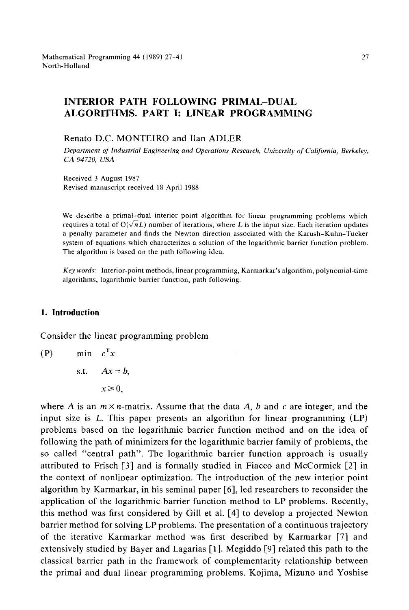# INTERIOR PATH FOLLOWING **PRIMAL-DUAL ALGORITHMS. PART I: LINEAR PROGRAMMING**

#### Renato D.C. MONTEIRO and Ilan ADLER

*Department of' Industrial Engineering and Operations Research, University of California, Berkeley, CA 94720, USA* 

Received 3 August 1987 Revised manuscript received 18 April 1988

We describe a primal-dual interior point algorithm for linear programming problems which requires a total of  $O(\sqrt{n}L)$  number of iterations, where L is the input size. Each iteration updates a penalty parameter and finds the Newton direction associated with the Karush-Kuhn-Tucker system of equations which characterizes a solution of the logarithmic barrier function problem. The algorithm is based on the path following idea.

*Keywords:* Interior-point methods, linear programming, Karmarkar's algorithm, polynomial-time algorithms, logarithmic barrier function, path following.

# **1. Introduction**

Consider the linear programming problem

 $(P)$  min  $c^Tx$ s.t.  $Ax = b$ ,  $x \geq 0$ .

where A is an  $m \times n$ -matrix. Assume that the data A, b and c are integer, and the input size is L. This paper presents an algorithm for linear programming (LP) problems based on the logarithmic barrier function method and on the idea of following the path of minimizers for the logarithmic barrier family of problems, the so called "central path". The logarithmic barrier function approach is usually attributed to Frisch [3] and is formally studied in Fiacco and McCormick [2] in the context of nonlinear optimization. The introduction of the new interior point algorithm by Karmarkar, in his seminal paper [6], led researchers to reconsider the application of the logarithmic barrier function method to LP problems. Recently, this method was first considered by Gill et al, [4] to develop a projected Newton barrier method for solving LP problems. The presentation of a continuous trajectory of the iterative Karmarkar method was first described by Karmarkar [7] and extensively studied by Bayer and Lagarias [1]. Megiddo [9] related this path to the classical barrier path in the framework of complementarity relationship between the primal and dual linear programming problems. Kojima, Mizuno and Yoshise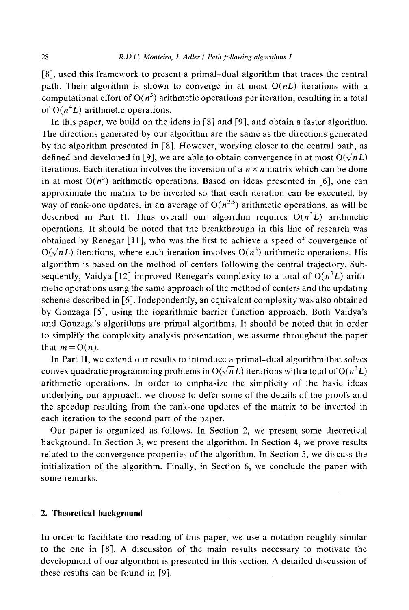[8], used this framework to present a primal-dual algorithm that traces the central path. Their algorithm is shown to converge in at most *O(nL)* iterations with a computational effort of  $O(n^3)$  arithmetic operations per iteration, resulting in a total of  $O(n^4L)$  arithmetic operations.

In this paper, we build on the ideas in [8] and [9], and obtain a faster algorithm. The directions generated by our algorithm are the same as the directions generated by the algorithm presented in [8]. However, working closer to the central path, as defined and developed in [9], we are able to obtain convergence in at most  $O(\sqrt{n}L)$ iterations. Each iteration involves the inversion of a  $n \times n$  matrix which can be done in at most  $O(n^3)$  arithmetic operations. Based on ideas presented in [6], one can approximate the matrix to be inverted so that each iteration can be executed, by way of rank-one updates, in an average of  $O(n^{2.5})$  arithmetic operations, as will be described in Part II. Thus overall our algorithm requires  $O(n^3L)$  arithmetic operations. It should be noted that the breakthrough in this line of research was obtained by Renegar [11], who was the first to achieve a speed of convergence of  $O(\sqrt{n}L)$  iterations, where each iteration involves  $O(n^3)$  arithmetic operations. His algorithm is based on the method of centers following the central trajectory. Subsequently, Vaidya [12] improved Renegar's complexity to a total of  $O(n^3L)$  arithmetic operations using the same approach of the method of centers and the updating scheme described in [6]. Independently, an equivalent complexity was also obtained by Gonzaga [5], using the logarithmic barrier function approach. Both Vaidya's and Gonzaga's algorithms are primal algorithms. It should be noted that in order to simplify the complexity analysis presentation, we assume throughout the paper that  $m = O(n)$ .

In Part II, we extend our results to introduce a primal-dual algorithm that solves convex quadratic programming problems in  $O(\sqrt{n}L)$  iterations with a total of  $O(n^3L)$ arithmetic operations. In order to emphasize the simplicity of the basic ideas underlying our approach, we choose to defer some of the details of the proofs and the speedup resulting from the rank-one updates of the matrix to be inverted in each iteration to the second part of the paper.

Our paper is organized as follows. In Section 2, we present some theoretical background. In Section 3, we present the algorithm. In Section 4, we prove results related to the convergence properties of the algorithm. In Section 5, we discuss the initialization of the algorithm. Finally, in Section 6, we conclude the paper with some remarks.

## **2. Theoretical background**

In order to facilitate the reading of this paper, we use a notation roughly similar to the one in [8]. A discussion of the main results necessary to motivate the development of our algorithm is presented in this section. A detailed discussion of these results can be found in [9].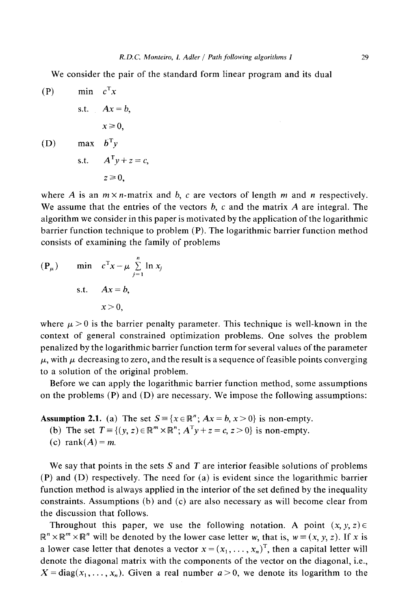We consider the pair of the standard form linear program and its dual

(P)

\n
$$
\begin{aligned}\n\min \quad & c^{\mathsf{T}}x \\
\text{s.t.} \quad & Ax = b, \\
& x \geq 0, \\
\text{(D)} \quad & \max \quad & b^{\mathsf{T}}y \\
\text{s.t.} \quad & A^{\mathsf{T}}y + z = c, \\
& z \geq 0,\n\end{aligned}
$$

where A is an  $m \times n$ -matrix and b, c are vectors of length m and n respectively. We assume that the entries of the vectors  $b$ ,  $c$  and the matrix  $A$  are integral. The algorithm we consider in this paper is motivated by the application of the logarithmic barrier function technique to problem (P). The logarithmic barrier function method consists of examining the family of problems

$$
(\mathbf{P}_{\mu}) \quad \text{min} \quad c^{\mathrm{T}} \mathbf{x} - \mu \sum_{j=1}^{n} \ln x_{j}
$$
  
s.t.  $A\mathbf{x} = b$ ,  
 $x > 0$ ,

where  $\mu > 0$  is the barrier penalty parameter. This technique is well-known in the context of general constrained optimization problems. One solves the problem penalized by the logarithmic barrier function term for several values of the parameter  $\mu$ , with  $\mu$  decreasing to zero, and the result is a sequence of feasible points converging to a solution of the original problem.

Before we can apply the logarithmic barrier function method, some assumptions on the problems  $(P)$  and  $(D)$  are necessary. We impose the following assumptions:

**Assumption 2.1.** (a) The set  $S = \{x \in \mathbb{R}^n; Ax = b, x > 0\}$  is non-empty.

- (b) The set  $T = \{(y, z) \in \mathbb{R}^m \times \mathbb{R}^n; A^T y + z = c, z > 0\}$  is non-empty.
- (c) rank $(A) = m$ .

We say that points in the sets S and T are interior feasible solutions of problems (P) and (D) respectively. The need for (a) is evident since the logarithmic barrier function method is always applied in the interior of the set defined by the inequality constraints. Assumptions (b) and (c) are also necessary as will become clear from the discussion that follows.

Throughout this paper, we use the following notation. A point  $(x, y, z) \in$  $\mathbb{R}^n \times \mathbb{R}^m \times \mathbb{R}^n$  will be denoted by the lower case letter w, that is,  $w = (x, y, z)$ . If x is a lower case letter that denotes a vector  $x = (x_1, \ldots, x_n)^T$ , then a capital letter will denote the diagonal matrix with the components of the vector on the diagonal, i.e.,  $X = diag(x_1, \ldots, x_n)$ . Given a real number  $a > 0$ , we denote its logarithm to the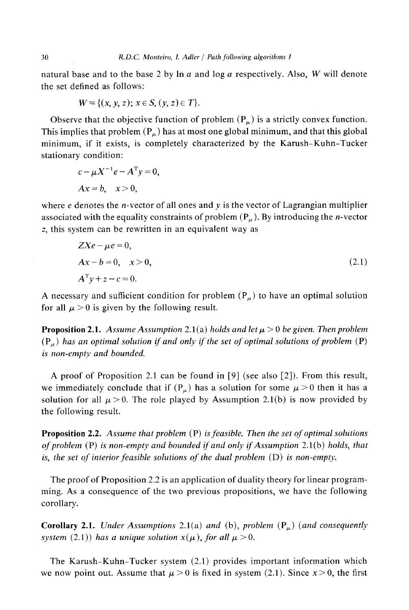natural base and to the base 2 by  $\ln a$  and  $\log a$  respectively. Also, W will denote the set defined as follows:

$$
W = \{(x, y, z); x \in S, (y, z) \in T\}.
$$

Observe that the objective function of problem  $(P_\mu)$  is a strictly convex function. This implies that problem  $(P_\mu)$  has at most one global minimum, and that this global minimum, if it exists, is completely characterized by the Karush-Kuhn-Tucker stationary condition:

$$
c - \mu X^{-1} e - A^{T} y = 0,
$$
  
 
$$
Ax = b, \quad x > 0,
$$

where  $e$  denotes the *n*-vector of all ones and  $y$  is the vector of Lagrangian multiplier associated with the equality constraints of problem  $(P_\mu)$ . By introducing the *n*-vector z, this system can be rewritten in an equivalent way as

$$
ZXe - \mu e = 0,
$$
  
\n
$$
Ax - b = 0, \quad x > 0,
$$
  
\n
$$
A^{T}y + z - c = 0.
$$
\n(2.1)

A necessary and sufficient condition for problem  $(P_u)$  to have an optimal solution for all  $\mu > 0$  is given by the following result.

**Proposition 2.1.** *Assume Assumption 2.1(a) holds and let*  $\mu > 0$  *be given. Then problem*  $(P_\mu)$  has an optimal solution if and only if the set of optimal solutions of problem (P) *is non-empty and bounded.* 

A proof of Proposition 2.1 can be found in [9] (see also [2]). From this result, we immediately conclude that if  $(P_\mu)$  has a solution for some  $\mu > 0$  then it has a solution for all  $\mu > 0$ . The role played by Assumption 2.1(b) is now provided by the following result.

Proposition 2.2. *Assume that problem* (P) *is feasible. Then the set of optimal solutions of problem* (P) *is non-empty and bounded if and only if Assumption* 2.1(b) *holds, that is, the set of interior feasible solutions of the dual problem (D) is non-empty.* 

The proof of Proposition 2.2 is an application of duality theory for linear programming. As a consequence of the two previous propositions, we have the following corollary.

Corollary 2.1. *Under Assumptions* 2.1(a) *and* (b), *problem* (P~) *(and consequently system* (2.1)) has a unique solution  $x(\mu)$ , for all  $\mu > 0$ .

The Karush-Kuhn-Tucker system (2.1) provides important information which we now point out. Assume that  $\mu > 0$  is fixed in system (2.1). Since  $x > 0$ , the first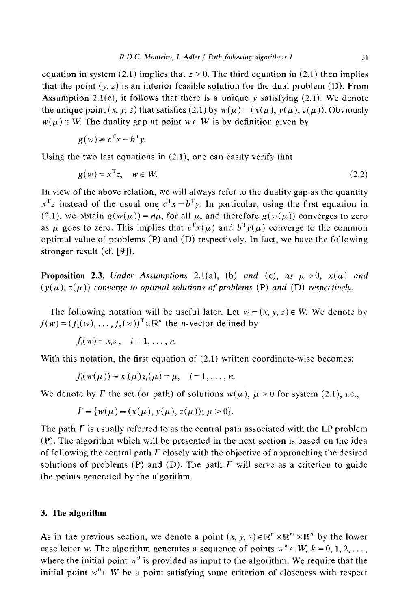equation in system (2.1) implies that  $z > 0$ . The third equation in (2.1) then implies that the point  $(y, z)$  is an interior feasible solution for the dual problem (D). From Assumption 2.1(c), it follows that there is a unique  $\nu$  satisfying (2.1). We denote the unique point  $(x, y, z)$  that satisfies (2.1) by  $w(\mu) = (x(\mu), y(\mu), z(\mu))$ . Obviously  $w(\mu) \in W$ . The duality gap at point  $w \in W$  is by definition given by

$$
g(w) \equiv c^{\mathrm{T}} x - b^{\mathrm{T}} y.
$$

Using the two last equations in (2.1), one can easily verify that

$$
g(w) = x^{\mathrm{T}} z, \quad w \in W. \tag{2.2}
$$

In view of the above relation, we will always refer to the duality gap as the quantity  $x^Tz$  instead of the usual one  $c^Tx - b^Ty$ . In particular, using the first equation in (2.1), we obtain  $g(w(\mu)) = n\mu$ , for all  $\mu$ , and therefore  $g(w(\mu))$  converges to zero as  $\mu$  goes to zero. This implies that  $c^T x(\mu)$  and  $b^T y(\mu)$  converge to the common optimal value of problems (P) and (D) respectively. In fact, we have the following stronger result (cf. [9]),

**Proposition 2.3.** *Under Assumptions* 2.1(a), (b) *and* (c), *as*  $\mu \rightarrow 0$ ,  $x(\mu)$  *and*  $(y(\mu), z(\mu))$  *converge to optimal solutions of problems* (P) *and* (D) *respectively.* 

The following notation will be useful later. Let  $w = (x, y, z) \in W$ . We denote by  $f(w) = (f_1(w), \ldots, f_n(w))^T \in \mathbb{R}^n$  the *n*-vector defined by

$$
f_i(w) = x_i z_i, \quad i = 1, \ldots, n.
$$

With this notation, the first equation of  $(2.1)$  written coordinate-wise becomes:

$$
f_i(w(\mu))\equiv x_i(\mu)z_i(\mu)=\mu, \quad i=1,\ldots,n.
$$

We denote by  $\Gamma$  the set (or path) of solutions  $w(\mu)$ ,  $\mu > 0$  for system (2.1), i.e.,

$$
\Gamma = \{ w(\mu) = (x(\mu), y(\mu), z(\mu)); \mu > 0 \}.
$$

The path  $\Gamma$  is usually referred to as the central path associated with the LP problem (P). The algorithm which will be presented in the next section is based on the idea of following the central path  $\Gamma$  closely with the objective of approaching the desired solutions of problems (P) and (D). The path  $\Gamma$  will serve as a criterion to guide the points generated by the algorithm.

## **3. The algorithm**

As in the previous section, we denote a point  $(x, y, z) \in \mathbb{R}^n \times \mathbb{R}^m \times \mathbb{R}^n$  by the lower case letter w. The algorithm generates a sequence of points  $w^k \in W$ ,  $k = 0, 1, 2, \ldots$ , where the initial point  $w<sup>0</sup>$  is provided as input to the algorithm. We require that the initial point  $w^0 \in W$  be a point satisfying some criterion of closeness with respect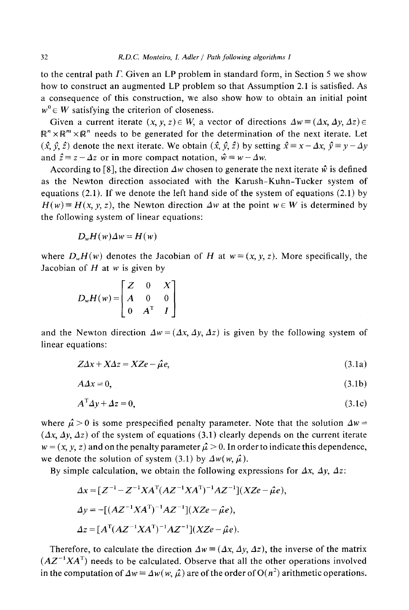to the central path I: Given an LP problem in standard form, in Section 5 we show how to construct an augmented LP problem so that Assumption 2.1 is satisfied. As a consequence of this construction, we also show how to obtain an initial point  $w^0 \in W$  satisfying the criterion of closeness.

Given a current iterate  $(x, y, z) \in W$ , a vector of directions  $\Delta w \equiv (\Delta x, \Delta y, \Delta z) \in$  $\mathbb{R}^n \times \mathbb{R}^m \times \mathbb{R}^n$  needs to be generated for the determination of the next iterate. Let  $(\hat{x}, \hat{y}, \hat{z})$  denote the next iterate. We obtain  $(\hat{x}, \hat{y}, \hat{z})$  by setting  $\hat{x} = x - \Delta x$ ,  $\hat{y} = y - \Delta y$ and  $\hat{z} = z - \Delta z$  or in more compact notation,  $\hat{w} = w - \Delta w$ .

According to [8], the direction  $\Delta w$  chosen to generate the next iterate  $\hat{w}$  is defined as the Newton direction associated with the Karush-Kuhn-Tucker system of equations (2.1). If we denote the left hand side of the system of equations (2.1) by  $H(w) = H(x, y, z)$ , the Newton direction  $\Delta w$  at the point  $w \in W$  is determined by the following system of linear equations:

$$
D_w H(w) \Delta w = H(w)
$$

where  $D_wH(w)$  denotes the Jacobian of H at  $w = (x, y, z)$ . More specifically, the Jacobian of  $H$  at  $w$  is given by

$$
D_w H(w) = \begin{bmatrix} Z & 0 & X \\ A & 0 & 0 \\ 0 & A^T & I \end{bmatrix}
$$

and the Newton direction  $\Delta w = (A x, A y, A z)$  is given by the following system of linear equations:

$$
Z\Delta x + X\Delta z = XZe - \hat{\mu}e,\tag{3.1a}
$$

$$
A\Delta x = 0,\tag{3.1b}
$$

$$
A^{\mathrm{T}} \Delta y + \Delta z = 0,\tag{3.1c}
$$

where  $\hat{\mu} > 0$  is some prespecified penalty parameter. Note that the solution  $\Delta w =$  $(Ax, Ay, Az)$  of the system of equations (3.1) clearly depends on the current iterate  $w = (x, y, z)$  and on the penalty parameter  $\hat{\mu} > 0$ . In order to indicate this dependence, we denote the solution of system (3.1) by  $\Delta w(w, \hat{\mu})$ .

By simple calculation, we obtain the following expressions for  $\Delta x$ ,  $\Delta y$ ,  $\Delta z$ :

$$
\Delta x = [Z^{-1} - Z^{-1} X A^{T} (AZ^{-1} X A^{T})^{-1} AZ^{-1}](XZe - \hat{\mu}e),
$$
  
\n
$$
\Delta y = -[(AZ^{-1} X A^{T})^{-1} AZ^{-1}](XZe - \hat{\mu}e),
$$
  
\n
$$
\Delta z = [A^{T} (AZ^{-1} X A^{T})^{-1} AZ^{-1}](XZe - \hat{\mu}e).
$$

Therefore, to calculate the direction  $\Delta w \equiv (\Delta x, \Delta y, \Delta z)$ , the inverse of the matrix  $(AZ^{-1}XA^{T})$  needs to be calculated. Observe that all the other operations involved in the computation of  $\Delta w = \Delta w (w, \hat{\mu})$  are of the order of  $O(n^2)$  arithmetic operations.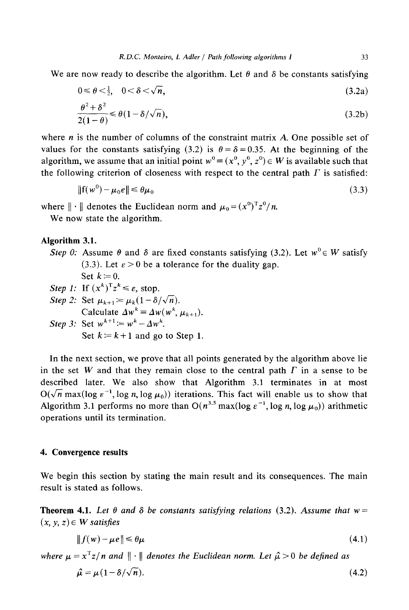We are now ready to describe the algorithm. Let  $\theta$  and  $\delta$  be constants satisfying

$$
0 \leq \theta < \frac{1}{2}, \quad 0 < \delta < \sqrt{n},\tag{3.2a}
$$

$$
\frac{\theta^2 + \delta^2}{2(1 - \theta)} \le \theta (1 - \delta / \sqrt{n}),\tag{3.2b}
$$

where  $n$  is the number of columns of the constraint matrix  $A$ . One possible set of values for the constants satisfying (3.2) is  $\theta = \delta = 0.35$ . At the beginning of the algorithm, we assume that an initial point  $w^0 = (x^0, y^0, z^0) \in W$  is available such that the following criterion of closeness with respect to the central path  $\Gamma$  is satisfied:

$$
\|\mathbf{f}(w^0) - \mu_0 e\| \le \theta \mu_0 \tag{3.3}
$$

where  $\|\cdot\|$  denotes the Euclidean norm and  $\mu_0 = (x^0)^T z^0/n$ .

We now state the algorithm.

# **Algorithm 3.1.**

- *Step 0:* Assume  $\theta$  and  $\delta$  are fixed constants satisfying (3.2). Let  $w^0 \in W$  satisfy (3.3). Let  $\epsilon > 0$  be a tolerance for the duality gap. Set  $k=0$ .
- *Step 1:* If  $(x^k)^T z^k \le \varepsilon$ , stop. *Step 2:* Set  $\mu_{k+1} := \mu_k(1 - \delta/\sqrt{n}).$ Calculate  $\Delta w^k = \Delta w(w^k, \mu_{k+1}).$ *Step 3:* Set  $w^{k+1} = w^k - \Delta w^k$ . Set  $k = k+1$  and go to Step 1.

In the next section, we prove that all points generated by the algorithm above lie in the set W and that they remain close to the central path  $\Gamma$  in a sense to be described later. We also show that Algorithm 3.1 terminates in at most  $O(\sqrt{n} \max(\log \epsilon^{-1}, \log n, \log \mu_0))$  iterations. This fact will enable us to show that Algorithm 3.1 performs no more than  $O(n^{3.5} \max(\log \epsilon^{-1}, \log n, \log \mu_0))$  arithmetic operations until its termination.

## **4. Convergence results**

We begin this section by stating the main result and its consequences. The main result is stated as follows.

**Theorem 4.1.** Let  $\theta$  and  $\delta$  be constants satisfying relations (3.2). Assume that  $w =$  $(x, y, z) \in W$  *satisfies* 

$$
||f(w) - \mu e|| \le \theta \mu \tag{4.1}
$$

*where*  $\mu = x^{T}z/n$  and  $\|\cdot\|$  *denotes the Euclidean norm. Let*  $\hat{\mu} > 0$  *be defined as*  $\hat{\mu} = \mu (1 - \delta / \sqrt{n}).$  (4.2)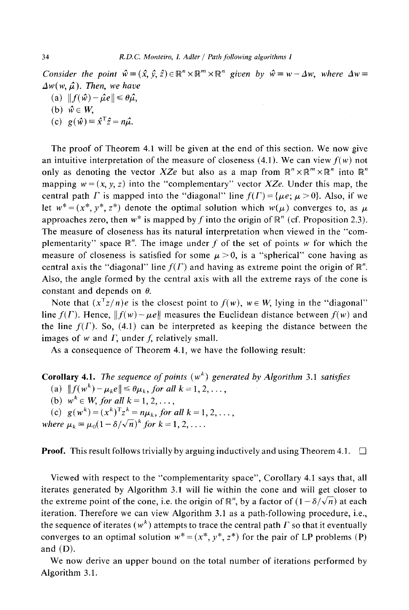*Consider the point*  $\hat{w} = (\hat{x}, \hat{y}, \hat{z}) \in \mathbb{R}^n \times \mathbb{R}^m \times \mathbb{R}^n$  given by  $\hat{w} = w - \Delta w$ , where  $\Delta w =$ .  $\Delta w(w, \hat{\mu})$ . Then, we have

- (a)  $|| f(\hat{w}) \hat{\mu}e || \le \theta \hat{\mu},$
- (b)  $\hat{w} \in W$ ,
- (c)  $g(\hat{w}) = \hat{x}^T \hat{z} = n\hat{\mu}.$

The proof of Theorem 4.1 will be given at the end of this section. We now give an intuitive interpretation of the measure of closeness  $(4.1)$ . We can view  $f(w)$  not only as denoting the vector *XZe* but also as a map from  $\mathbb{R}^n \times \mathbb{R}^m \times \mathbb{R}^n$  into  $\mathbb{R}^n$ mapping  $w = (x, y, z)$  into the "complementary" vector *XZe*. Under this map, the central path *F* is mapped into the "diagonal" line  $f(T) = \{ \mu e : \mu > 0 \}$ . Also, if we let  $w^* = (x^*, y^*, z^*)$  denote the optimal solution which  $w(\mu)$  converges to, as  $\mu$ approaches zero, then  $w^*$  is mapped by f into the origin of  $\mathbb{R}^n$  (cf. Proposition 2.3). The measure of closeness has its natural interpretation when viewed in the "complementarity" space  $\mathbb{R}^n$ . The image under f of the set of points w for which the measure of closeness is satisfied for some  $\mu > 0$ , is a "spherical" cone having as central axis the "diagonal" line  $f(\Gamma)$  and having as extreme point the origin of  $\mathbb{R}^n$ . Also, the angle formed by the central axis with all the extreme rays of the cone is constant and depends on  $\theta$ .

Note that  $(x^Tz/n)e$  is the closest point to  $f(w)$ ,  $w \in W$ , lying in the "diagonal" line  $f(\Gamma)$ . Hence,  $|| f(w) - \mu e||$  measures the Euclidean distance between  $f(w)$  and the line  $f(\Gamma)$ . So, (4.1) can be interpreted as keeping the distance between the images of  $w$  and  $\Gamma$ , under  $f$ , relatively small.

As a consequence of Theorem 4.1, we have the following result:

**Corollary 4.1.** The *sequence of points*  $(w<sup>k</sup>)$  generated by Algorithm 3.1 *satisfies* 

(a)  $|| f(w^k) - \mu_k e || \leq \theta \mu_k$ , *for all k* = 1, 2, ...,

(b)  $w^k \in W$ , for all  $k = 1, 2, \ldots$ ,

(c)  $g(w^k) = (x^k)^T z^k = n\mu_k$ , for all  $k = 1, 2, \ldots$ ,

*where*  $\mu_k \equiv \mu_0 (1 - \delta/\sqrt{n})^k$  *for*  $k = 1, 2, \ldots$ .

**Proof.** This result follows trivially by arguing inductively and using Theorem 4.1.  $\Box$ 

Viewed with respect to the "complementarity space", Corollary 4.1 says that, all iterates generated by Algorithm 3.1 will lie within the cone and will get closer to the extreme point of the cone, i.e. the origin of  $\mathbb{R}^n$ , by a factor of  $(1 - \delta/\sqrt{n})$  at each iteration. Therefore we can view Algorithm 3.1 as a path-following procedure, i.e., the sequence of iterates ( $w^k$ ) attempts to trace the central path  $\Gamma$  so that it eventually converges to an optimal solution  $w^* = (x^*, y^*, z^*)$  for the pair of LP problems (P) and  $(D)$ .

We now derive an upper bound on the total number of iterations performed by Algorithm 3.1.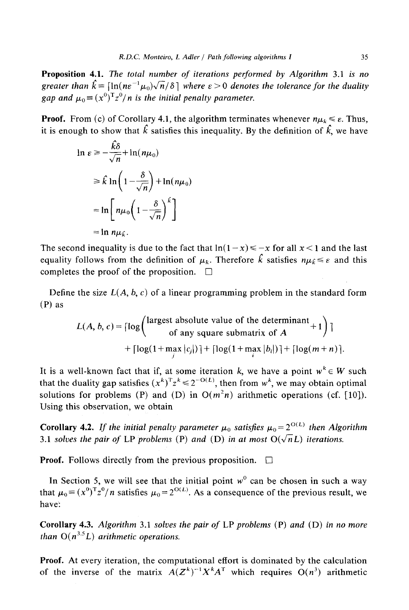Proposition 4.1. The *total number of iterations performed by Algorithm* 3.1 *is no greater than*  $\hat{k} = [\ln(n\epsilon^{-1}\mu_0)\sqrt{n}/\delta]$  where  $\epsilon > 0$  denotes the tolerance for the duality *gap and*  $\mu_0 = (x^0)^T z^0/n$  *is the initial penalty parameter.* 

**Proof.** From (c) of Corollary 4.1, the algorithm terminates whenever  $n\mu_k \leq \varepsilon$ . Thus, it is enough to show that  $\hat{k}$  satisfies this inequality. By the definition of  $\hat{k}$ , we have

$$
\ln \varepsilon \ge -\frac{k\delta}{\sqrt{n}} + \ln(n\mu_0)
$$
  
\n
$$
\ge \hat{k} \ln \left( 1 - \frac{\delta}{\sqrt{n}} \right) + \ln(n\mu_0)
$$
  
\n
$$
= \ln \left[ n\mu_0 \left( 1 - \frac{\delta}{\sqrt{n}} \right)^{\hat{k}} \right]
$$
  
\n
$$
= \ln n\mu_{\hat{k}}.
$$

The second inequality is due to the fact that  $\ln(1-x) \le -x$  for all  $x < 1$  and the last equality follows from the definition of  $\mu_k$ . Therefore  $\hat{k}$  satisfies  $n\mu_k \leq \varepsilon$  and this completes the proof of the proposition.  $\Box$ 

Define the size  $L(A, b, c)$  of a linear programming problem in the standard form (P) as

$$
L(A, b, c) = \lceil \log \left( \frac{\text{largest absolute value of the determinant}}{\text{of any square submatrix of } A} + 1 \right) \rceil
$$
  
+ 
$$
\lceil \log(1 + \max_{j} |c_{j}|) \rceil + \lceil \log(1 + \max_{i} |b_{i}|) \rceil + \lceil \log(m + n) \rceil.
$$

It is a well-known fact that if, at some iteration k, we have a point  $w^k \in W$  such that the duality gap satisfies  $(x^k)^T z^k \leq 2^{-O(L)}$ , then from w<sup>k</sup>, we may obtain optimal solutions for problems (P) and (D) in  $O(m^2n)$  arithmetic operations (cf. [10]). Using this observation, we obtain

**Corollary 4.2.** *If the initial penalty parameter*  $\mu_0$  *satisfies*  $\mu_0 = 2^{O(L)}$  *then Algorithm* 3.1 *solves the pair of LP problems* (P) *and* (D) *in at most*  $O(\sqrt{n}L)$  *iterations.* 

**Proof.** Follows directly from the previous proposition.  $\Box$ 

In Section 5, we will see that the initial point  $w^0$  can be chosen in such a way that  $\mu_0 = (x^0)^T z^0/n$  satisfies  $\mu_0 = 2^{O(L)}$ . As a consequence of the previous result, we have:

**Corollary** 4.3. *Algorithm* 3.1 *solves the pair of* LP *problems* (P) *and* (D) *in no more than*  $O(n^{3.5}L)$  *arithmetic operations.* 

**Proof.** At every iteration, the computational effort is dominated by the calculation of the inverse of the matrix  $A(Z^k)^{-1}X^kA^T$  which requires  $O(n^3)$  arithmetic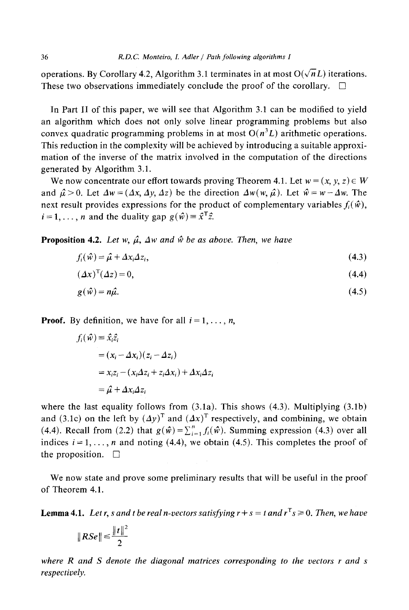operations. By Corollary 4.2, Algorithm 3.1 terminates in at most  $O(\sqrt{n}L)$  iterations. These two observations immediately conclude the proof of the corollary.  $\Box$ 

In Part II of this paper, we will see that Algorithm 3.1 can be modified to yield an algorithm which does not only solve linear programming problems but also convex quadratic programming problems in at most  $O(n^3L)$  arithmetic operations. This reduction in the complexity will be achieved by introducing a suitable approximation of the inverse of the matrix involved in the computation of the directions generated by Algorithm 3.1.

We now concentrate our effort towards proving Theorem 4.1. Let  $w = (x, y, z) \in W$ and  $\hat{\mu} > 0$ . Let  $\Delta w = (\Delta x, \Delta y, \Delta z)$  be the direction  $\Delta w(w, \hat{\mu})$ . Let  $\hat{w} = w - \Delta w$ . The next result provides expressions for the product of complementary variables  $f_i(\hat{w})$ ,  $i=1,\ldots,n$  and the duality gap  $g(\hat{w})\equiv \hat{x}^T\hat{z}$ .

**Proposition 4.2.** Let w,  $\hat{\mu}$ ,  $\Delta w$  and  $\hat{w}$  be as above. Then, we have

$$
f_i(\hat{\mathbf{w}}) = \hat{\mu} + \Delta x_i \Delta z_i, \tag{4.3}
$$

$$
(\varDelta x)^{\mathrm{T}}(\varDelta z) = 0,\tag{4.4}
$$

$$
g(\hat{w}) = n\hat{\mu}.\tag{4.5}
$$

**Proof.** By definition, we have for all  $i = 1, \ldots, n$ ,

$$
f_i(\hat{w}) = \hat{x}_i \hat{z}_i
$$
  
=  $(x_i - \Delta x_i)(z_i - \Delta z_i)$   
=  $x_i z_i - (x_i \Delta z_i + z_i \Delta x_i) + \Delta x_i \Delta z_i$   
=  $\hat{\mu} + \Delta x_i \Delta z_i$ 

where the last equality follows from  $(3.1a)$ . This shows  $(4.3)$ . Multiplying  $(3.1b)$ and (3.1c) on the left by  $(\Delta y)^T$  and  $(\Delta x)^T$  respectively, and combining, we obtain (4.4). Recall from (2.2) that  $g(\hat{w})=\sum_{i=1}^{n}f_i(\hat{w})$ . Summing expression (4.3) over all indices  $i = 1, \ldots, n$  and noting (4.4), we obtain (4.5). This completes the proof of the proposition.  $\square$ 

We now state and prove some preliminary results that will be useful in the proof of Theorem 4.1.

**Lemma 4.1.** Let r, s and t be real n-vectors satisfying  $r + s = t$  and  $r^T s \ge 0$ . Then, we have

$$
\|RSe\| \leq \frac{\|t\|^2}{2}
$$

*where R and S denote the diagonal matrices corresponding to the vectors r and s respectively.*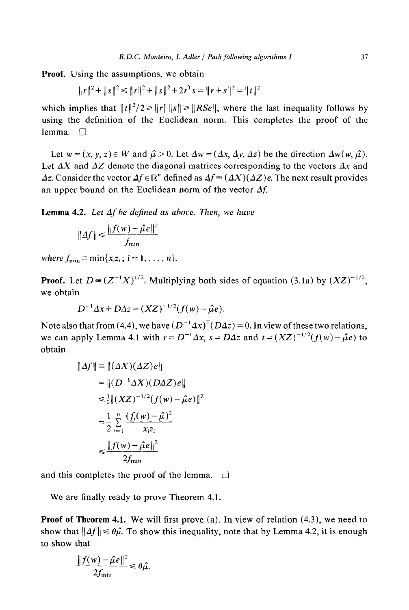Proof. Using the assumptions, we obtain

$$
||r||^2 + ||s||^2 \le ||r||^2 + ||s||^2 + 2r^{\mathrm{T}}s = ||r + s||^2 = ||t||^2
$$

which implies that  $||t||^2/2 \ge ||t|| \cdot ||s|| \ge ||RSe||$ , where the last inequality follows by using the definition of the Euclidean norm. This completes the proof of the lemma.  $\Box$ 

Let  $w = (x, y, z) \in W$  and  $\hat{\mu} > 0$ . Let  $\Delta w = (\Delta x, \Delta y, \Delta z)$  be the direction  $\Delta w(w, \hat{\mu})$ . Let  $\Delta X$  and  $\Delta Z$  denote the diagonal matrices corresponding to the vectors  $\Delta x$  and *Az.* Consider the vector  $\Delta f \in \mathbb{R}^n$  defined as  $\Delta f \equiv (\Delta X)(\Delta Z)e$ . The next result provides an upper bound on the Euclidean norm of the vector  $\Delta f$ .

Lemma 4.2. *Let Af be defined as above. Then, we have* 

$$
\| \Delta f \| \leq \frac{\| f(w) - \hat{\mu} e \|^2}{f_{\min}}
$$

*where*  $f_{\min} \equiv \min\{x_iz_i ; i = 1, \ldots, n\}.$ 

**Proof.** Let  $D = (Z^{-1}X)^{1/2}$ . Multiplying both sides of equation (3.1a) by  $(XZ)^{-1/2}$ . we obtain

$$
D^{-1} \Delta x + D \Delta z = (XZ)^{-1/2} (f(w) - \hat{\mu}e).
$$

Note also that from (4.4), we have  $(D^{-1}\Delta x)^T(D\Delta z) = 0$ . In view of these two relations, we can apply Lemma 4.1 with  $r = D^{-1}\Delta x$ ,  $s = D\Delta z$  and  $t = (XZ)^{-1/2}(f(w) - \hat{\mu}e)$  to obtain

$$
||\Delta f|| \equiv ||(\Delta X)(\Delta Z)e||
$$
  
\n
$$
= ||(D^{-1}\Delta X)(D\Delta Z)e||
$$
  
\n
$$
\leq \frac{1}{2} ||(XZ)^{-1/2}(f(w) - \hat{\mu}e)||^2
$$
  
\n
$$
= \frac{1}{2} \sum_{i=1}^{n} \frac{(f_i(w) - \hat{\mu})^2}{x_i z_i}
$$
  
\n
$$
\leq \frac{||f(w) - \hat{\mu}e||^2}{2f_{\text{min}}}
$$

and this completes the proof of the lemma. **[]** 

We are finally ready to prove Theorem 4.1.

Proof of Theorem **4.1. We** will first prove (a). In view of relation (4.3), we need to show that  $||\Delta f|| \leq \theta \hat{\mu}$ . To show this inequality, note that by Lemma 4.2, it is enough to show that

$$
\frac{\|f(w)-\hat{\mu}e\|^2}{2f_{\min}} \leq \theta \hat{\mu}.
$$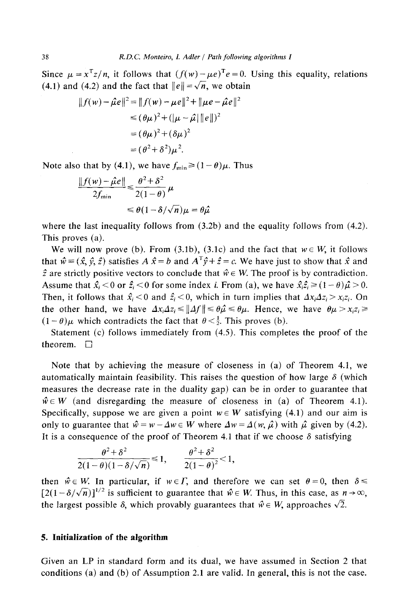Since  $\mu = x^Tz/n$ , it follows that  $(f(w)-\mu e)^Te=0$ . Using this equality, relations (4.1) and (4.2) and the fact that  $||e|| = \sqrt{n}$ , we obtain

$$
|| f(w) - \hat{\mu}e||^2 = || f(w) - \mu e||^2 + ||\mu e - \hat{\mu}e||^2
$$
  
\n
$$
\leq (\theta \mu)^2 + (|\mu - \hat{\mu}||e||)^2
$$
  
\n
$$
= (\theta \mu)^2 + (\delta \mu)^2
$$
  
\n
$$
= (\theta^2 + \delta^2)\mu^2.
$$

Note also that by (4.1), we have  $f_{\text{min}} \ge (1 - \theta)\mu$ . Thus

$$
\frac{\|f(w) - \hat{\mu}e\|}{2f_{\min}} \le \frac{\theta^2 + \delta^2}{2(1 - \theta)} \mu
$$
  

$$
\le \theta (1 - \delta/\sqrt{n})\mu = \theta \hat{\mu}
$$

where the last inequality follows from  $(3.2b)$  and the equality follows from  $(4.2)$ . This proves (a).

We will now prove (b). From (3.1b), (3.1c) and the fact that  $w \in W$ , it follows that  $\hat{w} = (\hat{x}, \hat{y}, \hat{z})$  satisfies  $A \hat{x} = b$  and  $A^T \hat{y} + \hat{z} = c$ . We have just to show that  $\hat{x}$  and  $\hat{z}$  are strictly positive vectors to conclude that  $\hat{w} \in W$ . The proof is by contradiction. Assume that  $\hat{x}_i < 0$  or  $\hat{z}_i < 0$  for some index *i*. From (a), we have  $\hat{x}_i \hat{z}_i \ge (1 - \theta)\hat{\mu} > 0$ . Then, it follows that  $\hat{x}_i < 0$  and  $\hat{z}_i < 0$ , which in turn implies that  $\Delta x_i \Delta z_i > x_i z_i$ . On the other hand, we have  $\Delta x_i \Delta z_i \le ||\Delta f|| \le \theta_i \hat{\mu} \le \theta_i$ . Hence, we have  $\theta \mu > x_i z_i \ge$  $(1 - \theta)\mu$  which contradicts the fact that  $\theta < \frac{1}{2}$ . This proves (b).

Statement (c) follows immediately from (4.5). This completes the proof of the theorem.  $\Box$ 

Note that by achieving the measure of closeness in (a) of Theorem 4.1, we automatically maintain feasibility. This raises the question of how large  $\delta$  (which measures the decrease rate in the duality gap) can be in order to guarantee that  $\hat{w} \in W$  (and disregarding the measure of closeness in (a) of Theorem 4.1). Specifically, suppose we are given a point  $w \in W$  satisfying (4.1) and our aim is only to guarantee that  $\hat{w} = w - \Delta w \in W$  where  $\Delta w = \Delta(w, \hat{\mu})$  with  $\hat{\mu}$  given by (4.2). It is a consequence of the proof of Theorem 4.1 that if we choose  $\delta$  satisfying

$$
\frac{\theta^2+\delta^2}{2(1-\theta)(1-\delta/\sqrt{n})}\leq 1, \qquad \frac{\theta^2+\delta^2}{2(1-\theta)^2}<1,
$$

then  $\hat{w} \in W$ . In particular, if  $w \in \Gamma$ , and therefore we can set  $\theta = 0$ , then  $\delta \le$  $[2(1-\delta/\sqrt{n})]^{1/2}$  is sufficient to guarantee that  $\hat{w} \in W$ . Thus, in this case, as  $n \to \infty$ , the largest possible  $\delta$ , which provably guarantees that  $\hat{w} \in W$ , approaches  $\sqrt{2}$ .

#### **5. Initialization of the algorithm**

**Given an LP in standard form and its dual, we have assumed in Section 2 that conditions (a) and (b) of Assumption 2.1 are valid. In general, this is not the case.**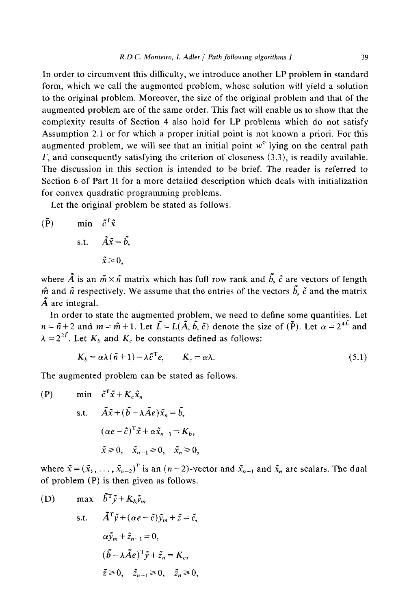In order to circumvent this difficulty, we introduce another LP problem in standard form, which we call the augmented problem, whose solution will yield a solution to the original problem. Moreover, the size of the original problem and that of the augmented problem are of the same order. This fact will enable us to show that the complexity results of Section 4 also hold for LP problems which do not satisfy Assumption 2.1 or for which a proper initial point is not known a priori. For this augmented problem, we will see that an initial point  $w<sup>0</sup>$  lying on the central path  $\Gamma$ , and consequently satisfying the criterion of closeness (3.3), is readily available. The discussion in this section is intended to be brief. The reader is referred to Section 6 of Part II for a more detailed description which deals with initialization for convex quadratic programming problems.

Let the original problem be stated as follows.

 $(\tilde{P})$  min  $\tilde{c}^T\tilde{x}$ s.t.  $\tilde{A}\tilde{x} = \tilde{b}$ ,  $\tilde{x} \geq 0$ .

where  $\tilde{A}$  is an  $\tilde{m} \times \tilde{n}$  matrix which has full row rank and  $\tilde{b}$ ,  $\tilde{c}$  are vectors of length  $\tilde{m}$  and  $\tilde{n}$  respectively. We assume that the entries of the vectors  $\tilde{b}$ ,  $\tilde{c}$  and the matrix  $\tilde{A}$  are integral.

In order to state the augmented problem, we need to define some quantities. Let  $n = \tilde{n} + 2$  and  $m = \tilde{m} + 1$ . Let  $\tilde{L} = L(\tilde{A}, \tilde{b}, \tilde{c})$  denote the size of (P). Let  $\alpha = 2^{4L}$  and  $\lambda = 2^{2\tilde{L}}$ . Let  $K_b$  and  $K_c$  be constants defined as follows:

$$
K_b = \alpha \lambda (\tilde{n} + 1) - \lambda \tilde{c}^\mathrm{T} e, \qquad K_c = \alpha \lambda. \tag{5.1}
$$

The augmented problem can be stated as follows.

(P) min 
$$
\tilde{c}^T \tilde{x} + K_c \tilde{x}_n
$$
  
s.t.  $\tilde{A}\tilde{x} + (\tilde{b} - \lambda \tilde{A}e)\tilde{x}_n = \tilde{b},$   
 $(\alpha e - \tilde{c})^T \tilde{x} + \alpha \tilde{x}_{n-1} = K_b,$   
 $\tilde{x} \ge 0, \quad \tilde{x}_{n-1} \ge 0, \quad \tilde{x}_n \ge 0,$ 

where  $\tilde{x} = (\tilde{x}_1, \ldots, \tilde{x}_{n-2})^T$  is an  $(n-2)$ -vector and  $\tilde{x}_{n-1}$  and  $\tilde{x}_n$  are scalars. The dual of problem (P) is then given as follows.

(D) 
$$
\max \quad \tilde{b}^T \tilde{y} + K_b \tilde{y}_m
$$
  
s.t.  $\tilde{A}^T \tilde{y} + (\alpha e - \tilde{c}) \tilde{y}_m + \tilde{z} = \tilde{c},$   
 $\alpha \tilde{y}_m + \tilde{z}_{n-1} = 0,$   
 $(\tilde{b} - \lambda \tilde{A} e)^T \tilde{y} + \tilde{z}_n = K_c,$   
 $\tilde{z} \ge 0, \quad \tilde{z}_{n-1} \ge 0, \quad \tilde{z}_n \ge 0,$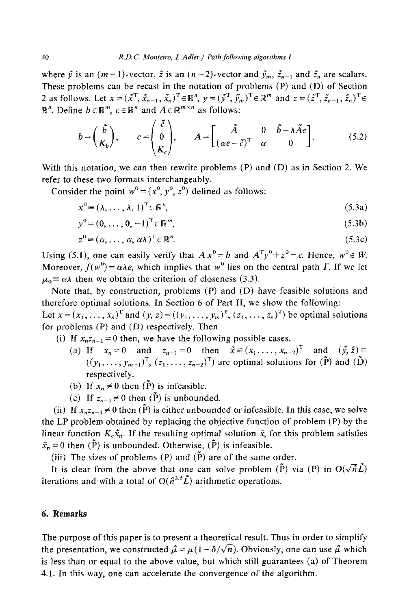where  $\tilde{y}$  is an  $(m-1)$ -vector,  $\tilde{z}$  is an  $(n-2)$ -vector and  $\tilde{y}_m$ ,  $\tilde{z}_{n-1}$  and  $\tilde{z}_n$  are scalars. These problems can be recast in the notation of problems (P) and (D) of Section 2 as follows. Let  $x = (\tilde{x}^T, \tilde{x}_{n-1}, \tilde{x}_n)^T \in \mathbb{R}^n$ ,  $y = (\tilde{y}^T, \tilde{y}_m)^T \in \mathbb{R}^m$  and  $z = (\tilde{z}^T, \tilde{z}_{n-1}, \tilde{z}_n)^T \in$  $\mathbb{R}^n$ . Define  $b \in \mathbb{R}^m$ ,  $c \in \mathbb{R}^n$  and  $A \in \mathbb{R}^{m \times n}$  as follows:

$$
b = \begin{pmatrix} \tilde{b} \\ K_b \end{pmatrix}, \qquad c = \begin{pmatrix} \tilde{c} \\ 0 \\ K_c \end{pmatrix}, \qquad A = \begin{bmatrix} \tilde{A} & 0 & \tilde{b} - \lambda \tilde{A}e \\ (\alpha e - \tilde{c})^T & \alpha & 0 \end{bmatrix}.
$$
 (5.2)

With this notation, we can then rewrite problems (P) and (D) as in Section 2. We refer to these two formats interchangeably.

Consider the point  $w^0 = (x^0, y^0, z^0)$  defined as follows:

$$
x^0 \equiv (\lambda, \dots, \lambda, 1)^T \in \mathbb{R}^n, \tag{5.3a}
$$

$$
y^{0} = (0, \dots, 0, -1)^{T} \in \mathbb{R}^{m}, \tag{5.3b}
$$

$$
z^{0} \equiv (\alpha, \dots, \alpha, \alpha \lambda)^{T} \in \mathbb{R}^{n}.
$$
 (5.3c)

Using (5.1), one can easily verify that  $A x^0 = b$  and  $A^T y^0 + z^0 = c$ . Hence,  $w^0 \in W$ . Moreover,  $f(w^0) = \alpha \lambda e$ , which implies that w<sup>0</sup> lies on the central path *F*. If we let  $\mu_0 \equiv \alpha \lambda$  then we obtain the criterion of closeness (3.3).

Note that, by construction, problems (P) and (D) have feasible solutions and therefore optimal solutions. In Section 6 of Part II, we show the following:

Let  $x = (x_1, \ldots, x_n)^T$  and  $(y, z) = ((y_1, \ldots, y_m)^T, (z_1, \ldots, z_n)^T)$  be optimal solutions for problems (P) and (D) respectively. Then

- (i) If  $x_n z_{n-1} = 0$  then, we have the following possible cases.
	- (a) If  $x_n = 0$  and  $z_{n-1} = 0$  then  $\tilde{x} = (x_1, \ldots, x_{n-2})^T$  and  $(\tilde{y}, \tilde{z}) =$  $((y_1, \ldots, y_{m-1})^T, (z_1, \ldots, z_{n-2})^T)$  are optimal solutions for  $(\tilde{P})$  and  $(\tilde{D})$ respectively.
	- (b) If  $x_n \neq 0$  then  $(\tilde{P})$  is infeasible.
	- (c) If  $z_{n-1} \neq 0$  then  $(\tilde{P})$  is unbounded.

(ii) If  $x_n z_{n-1} \neq 0$  then  $(\tilde{P})$  is either unbounded or infeasible. In this case, we solve the LP problem obtained by replacing the objective function of problem (P) by the linear function  $K_r\tilde{x}_n$ . If the resulting optimal solution  $\bar{x}_n$  for this problem satisfies  $\bar{x}_n = 0$  then (P) is unbounded. Otherwise, (P) is infeasible.

(iii) The sizes of problems (P) and  $(\tilde{P})$  are of the same order.

It is clear from the above that one can solve problem ( $\tilde{P}$ ) via (P) in  $O(\sqrt{n}\tilde{L})$ iterations and with a total of  $O(\tilde{n}^{3.5}\tilde{L})$  arithmetic operations.

### **6. Remarks**

The purpose of this paper is to present a theoretical result. Thus in order to simplify the presentation, we constructed  $\hat{\mu} = \mu(1 - \delta/\sqrt{n})$ . Obviously, one can use  $\hat{\mu}$  which is less than or equal to the above value, but which still guarantees (a) of Theorem 4.1. In this way, one can accelerate the convergence of the algorithm.